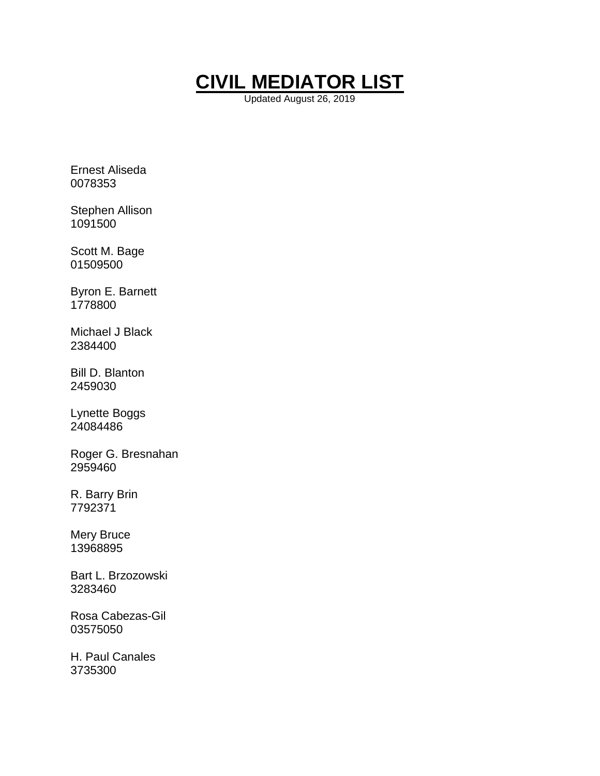

Updated August 26, 2019

Ernest Aliseda 0078353

Stephen Allison 1091500

Scott M. Bage 01509500

Byron E. Barnett 1778800

Michael J Black 2384400

Bill D. Blanton 2459030

Lynette Boggs 24084486

Roger G. Bresnahan 2959460

R. Barry Brin 7792371

Mery Bruce 13968895

Bart L. Brzozowski 3283460

Rosa Cabezas-Gil 03575050

H. Paul Canales 3735300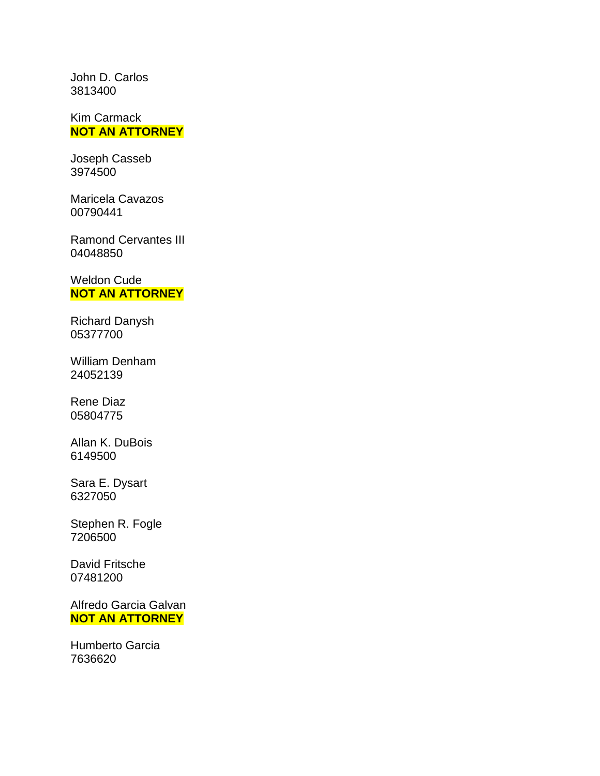John D. Carlos 3813400

Kim Carmack **NOT AN ATTORNEY**

Joseph Casseb 3974500

Maricela Cavazos 00790441

Ramond Cervantes III 04048850

Weldon Cude **NOT AN ATTORNEY**

Richard Danysh 05377700

William Denham 24052139

Rene Diaz 05804775

Allan K. DuBois 6149500

Sara E. Dysart 6327050

Stephen R. Fogle 7206500

David Fritsche 07481200

Alfredo Garcia Galvan **NOT AN ATTORNEY**

Humberto Garcia 7636620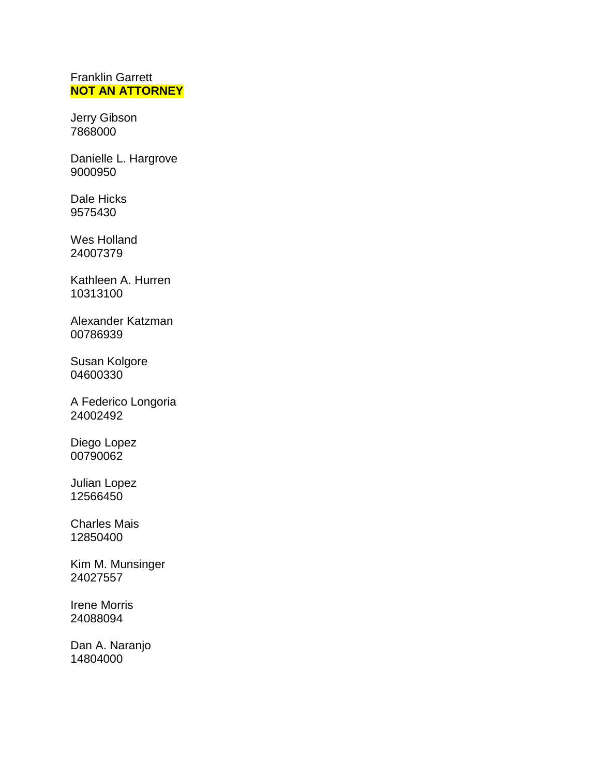## Franklin Garrett **NOT AN ATTORNEY**

Jerry Gibson 7868000

Danielle L. Hargrove 9000950

Dale Hicks 9575430

Wes Holland 24007379

Kathleen A. Hurren 10313100

Alexander Katzman 00786939

Susan Kolgore 04600330

A Federico Longoria 24002492

Diego Lopez 00790062

Julian Lopez 12566450

Charles Mais 12850400

Kim M. Munsinger 24027557

Irene Morris 24088094

Dan A. Naranjo 14804000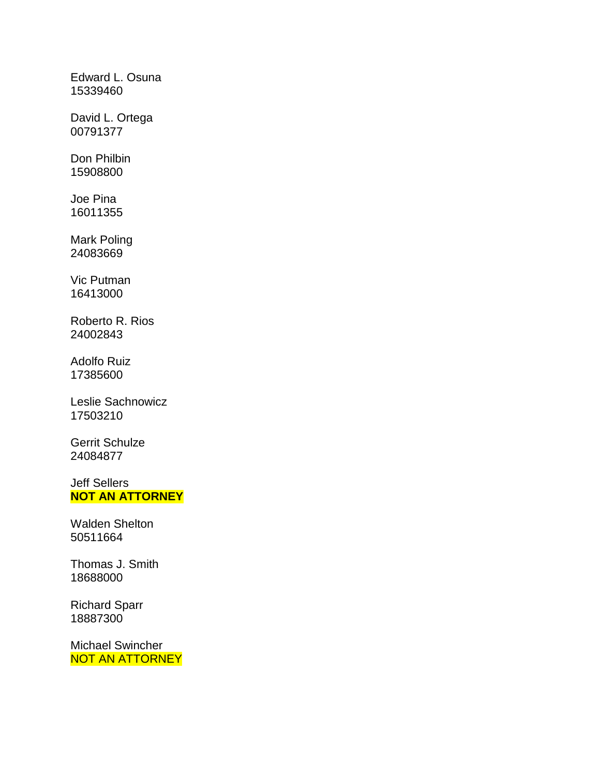Edward L. Osuna 15339460

David L. Ortega 00791377

Don Philbin 15908800

Joe Pina 16011355

Mark Poling 24083669

Vic Putman 16413000

Roberto R. Rios 24002843

Adolfo Ruiz 17385600

Leslie Sachnowicz 17503210

Gerrit Schulze 24084877

Jeff Sellers **NOT AN ATTORNEY**

Walden Shelton 50511664

Thomas J. Smith 18688000

Richard Sparr 18887300

Michael Swincher NOT AN ATTORNEY